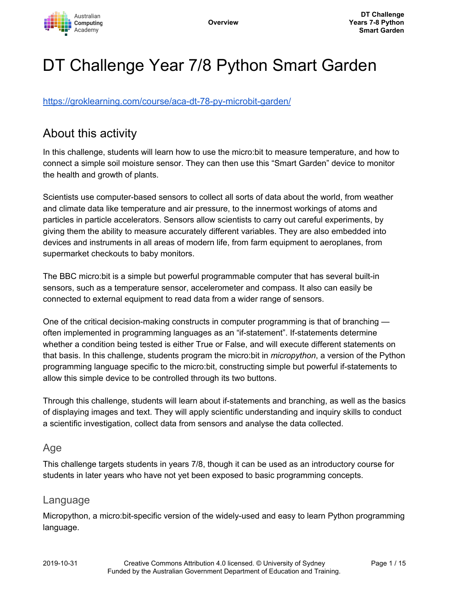

# DT Challenge Year 7/8 Python Smart Garden

<https://groklearning.com/course/aca-dt-78-py-microbit-garden/>

## About this activity

In this challenge, students will learn how to use the micro:bit to measure temperature, and how to connect a simple soil moisture sensor. They can then use this "Smart Garden" device to monitor the health and growth of plants.

Scientists use computer-based sensors to collect all sorts of data about the world, from weather and climate data like temperature and air pressure, to the innermost workings of atoms and particles in particle accelerators. Sensors allow scientists to carry out careful experiments, by giving them the ability to measure accurately different variables. They are also embedded into devices and instruments in all areas of modern life, from farm equipment to aeroplanes, from supermarket checkouts to baby monitors.

The BBC micro:bit is a simple but powerful programmable computer that has several built-in sensors, such as a temperature sensor, accelerometer and compass. It also can easily be connected to external equipment to read data from a wider range of sensors.

One of the critical decision-making constructs in computer programming is that of branching often implemented in programming languages as an "if-statement". If-statements determine whether a condition being tested is either True or False, and will execute different statements on that basis. In this challenge, students program the micro:bit in *micropython*, a version of the Python programming language specific to the micro:bit, constructing simple but powerful if-statements to allow this simple device to be controlled through its two buttons.

Through this challenge, students will learn about if-statements and branching, as well as the basics of displaying images and text. They will apply scientific understanding and inquiry skills to conduct a scientific investigation, collect data from sensors and analyse the data collected.

#### Age

This challenge targets students in years 7/8, though it can be used as an introductory course for students in later years who have not yet been exposed to basic programming concepts.

#### Language

Micropython, a micro:bit-specific version of the widely-used and easy to learn Python programming language.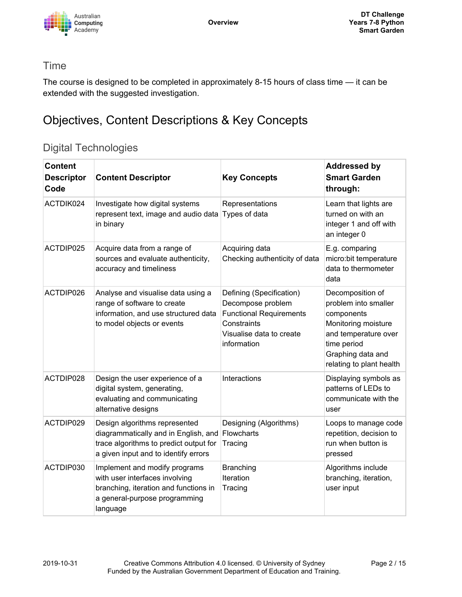

#### Time

The course is designed to be completed in approximately 8-15 hours of class time — it can be extended with the suggested investigation.

# Objectives, Content Descriptions & Key Concepts

### Digital Technologies

| <b>Content</b><br><b>Descriptor</b><br>Code | <b>Content Descriptor</b>                                                                                                                               | <b>Key Concepts</b>                                                                                                                       | <b>Addressed by</b><br><b>Smart Garden</b><br>through:                                                                                                                |
|---------------------------------------------|---------------------------------------------------------------------------------------------------------------------------------------------------------|-------------------------------------------------------------------------------------------------------------------------------------------|-----------------------------------------------------------------------------------------------------------------------------------------------------------------------|
| ACTDIK024                                   | Investigate how digital systems<br>represent text, image and audio data<br>in binary                                                                    | Representations<br>Types of data                                                                                                          | Learn that lights are<br>turned on with an<br>integer 1 and off with<br>an integer 0                                                                                  |
| ACTDIP025                                   | Acquire data from a range of<br>sources and evaluate authenticity,<br>accuracy and timeliness                                                           | Acquiring data<br>Checking authenticity of data                                                                                           | E.g. comparing<br>micro:bit temperature<br>data to thermometer<br>data                                                                                                |
| ACTDIP026                                   | Analyse and visualise data using a<br>range of software to create<br>information, and use structured data<br>to model objects or events                 | Defining (Specification)<br>Decompose problem<br><b>Functional Requirements</b><br>Constraints<br>Visualise data to create<br>information | Decomposition of<br>problem into smaller<br>components<br>Monitoring moisture<br>and temperature over<br>time period<br>Graphing data and<br>relating to plant health |
| ACTDIP028                                   | Design the user experience of a<br>digital system, generating,<br>evaluating and communicating<br>alternative designs                                   | Interactions                                                                                                                              | Displaying symbols as<br>patterns of LEDs to<br>communicate with the<br>user                                                                                          |
| ACTDIP029                                   | Design algorithms represented<br>diagrammatically and in English, and<br>trace algorithms to predict output for<br>a given input and to identify errors | Designing (Algorithms)<br>Flowcharts<br>Tracing                                                                                           | Loops to manage code<br>repetition, decision to<br>run when button is<br>pressed                                                                                      |
| ACTDIP030                                   | Implement and modify programs<br>with user interfaces involving<br>branching, iteration and functions in<br>a general-purpose programming<br>language   | <b>Branching</b><br>Iteration<br>Tracing                                                                                                  | Algorithms include<br>branching, iteration,<br>user input                                                                                                             |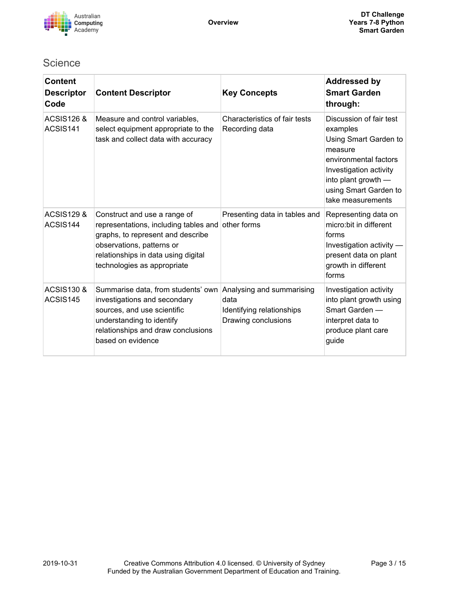

### **Science**

| <b>Content</b><br><b>Descriptor</b><br>Code | <b>Content Descriptor</b>                                                                                                                                                                                     | <b>Key Concepts</b>                                                                   | <b>Addressed by</b><br><b>Smart Garden</b><br>through:                                                                                                                                          |
|---------------------------------------------|---------------------------------------------------------------------------------------------------------------------------------------------------------------------------------------------------------------|---------------------------------------------------------------------------------------|-------------------------------------------------------------------------------------------------------------------------------------------------------------------------------------------------|
| <b>ACSIS126 &amp;</b><br>ACSIS141           | Measure and control variables,<br>select equipment appropriate to the<br>task and collect data with accuracy                                                                                                  | Characteristics of fair tests<br>Recording data                                       | Discussion of fair test<br>examples<br>Using Smart Garden to<br>measure<br>environmental factors<br>Investigation activity<br>into plant growth -<br>using Smart Garden to<br>take measurements |
| <b>ACSIS129 &amp;</b><br>ACSIS144           | Construct and use a range of<br>representations, including tables and<br>graphs, to represent and describe<br>observations, patterns or<br>relationships in data using digital<br>technologies as appropriate | Presenting data in tables and<br>other forms                                          | Representing data on<br>micro: bit in different<br>forms<br>Investigation activity -<br>present data on plant<br>growth in different<br>forms                                                   |
| <b>ACSIS130 &amp;</b><br>ACSIS145           | Summarise data, from students' own<br>investigations and secondary<br>sources, and use scientific<br>understanding to identify<br>relationships and draw conclusions<br>based on evidence                     | Analysing and summarising<br>data<br>Identifying relationships<br>Drawing conclusions | Investigation activity<br>into plant growth using<br>Smart Garden -<br>interpret data to<br>produce plant care<br>guide                                                                         |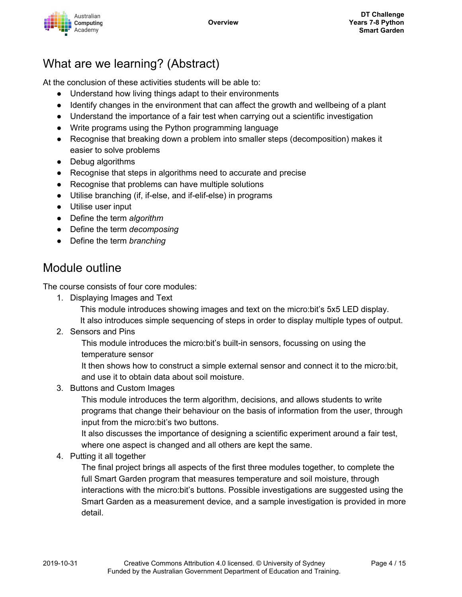

## What are we learning? (Abstract)

At the conclusion of these activities students will be able to:

- Understand how living things adapt to their environments
- Identify changes in the environment that can affect the growth and wellbeing of a plant
- Understand the importance of a fair test when carrying out a scientific investigation
- Write programs using the Python programming language
- Recognise that breaking down a problem into smaller steps (decomposition) makes it easier to solve problems
- Debug algorithms
- Recognise that steps in algorithms need to accurate and precise
- Recognise that problems can have multiple solutions
- Utilise branching (if, if-else, and if-elif-else) in programs
- Utilise user input
- Define the term *algorithm*
- Define the term *decomposing*
- Define the term *branching*

### Module outline

The course consists of four core modules:

1. Displaying Images and Text

This module introduces showing images and text on the micro:bit's 5x5 LED display. It also introduces simple sequencing of steps in order to display multiple types of output.

2. Sensors and Pins

This module introduces the micro:bit's built-in sensors, focussing on using the temperature sensor

It then shows how to construct a simple external sensor and connect it to the micro:bit, and use it to obtain data about soil moisture.

3. Buttons and Custom Images

This module introduces the term algorithm, decisions, and allows students to write programs that change their behaviour on the basis of information from the user, through input from the micro:bit's two buttons.

It also discusses the importance of designing a scientific experiment around a fair test, where one aspect is changed and all others are kept the same.

4. Putting it all together

The final project brings all aspects of the first three modules together, to complete the full Smart Garden program that measures temperature and soil moisture, through interactions with the micro:bit's buttons. Possible investigations are suggested using the Smart Garden as a measurement device, and a sample investigation is provided in more detail.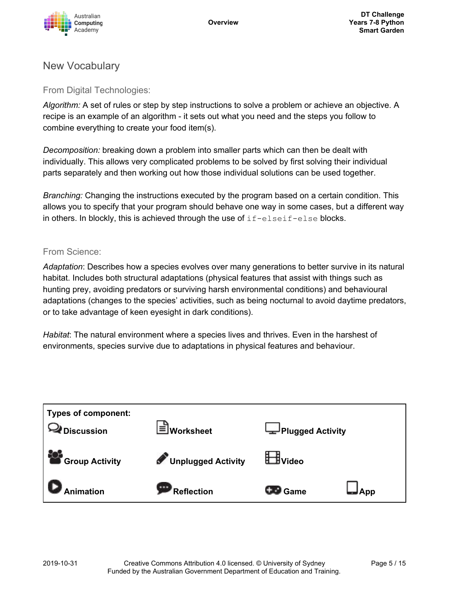

### New Vocabulary

From Digital Technologies:

*Algorithm:* A set of rules or step by step instructions to solve a problem or achieve an objective. A recipe is an example of an algorithm - it sets out what you need and the steps you follow to combine everything to create your food item(s).

*Decomposition:* breaking down a problem into smaller parts which can then be dealt with individually. This allows very complicated problems to be solved by first solving their individual parts separately and then working out how those individual solutions can be used together.

*Branching:* Changing the instructions executed by the program based on a certain condition. This allows you to specify that your program should behave one way in some cases, but a different way in others. In blockly, this is achieved through the use of  $if$ -elseif-else blocks.

#### From Science:

*Adaptation*: Describes how a species evolves over many generations to better survive in its natural habitat. Includes both structural adaptations (physical features that assist with things such as hunting prey, avoiding predators or surviving harsh environmental conditions) and behavioural adaptations (changes to the species' activities, such as being nocturnal to avoid daytime predators, or to take advantage of keen eyesight in dark conditions).

*Habitat*: The natural environment where a species lives and thrives. Even in the harshest of environments, species survive due to adaptations in physical features and behaviour.

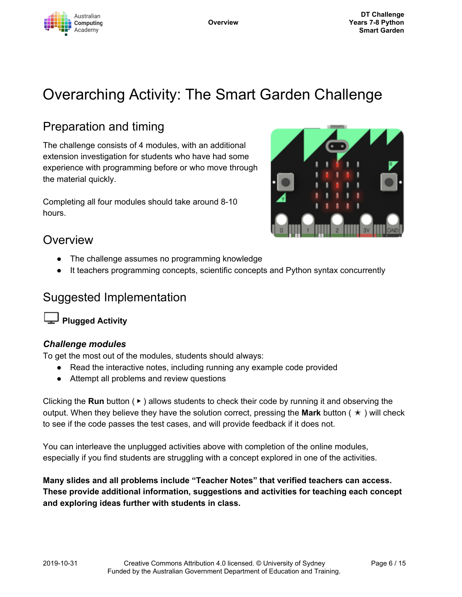

# Overarching Activity: The Smart Garden Challenge

# Preparation and timing

The challenge consists of 4 modules, with an additional extension investigation for students who have had some experience with programming before or who move through the material quickly.

Completing all four modules should take around 8-10 hours.



### Overview

- The challenge assumes no programming knowledge
- It teachers programming concepts, scientific concepts and Python syntax concurrently

### Suggested Implementation

**Plugged Activity**

#### *Challenge modules*

To get the most out of the modules, students should always:

- Read the interactive notes, including running any example code provided
- Attempt all problems and review questions

Clicking the **Run** button ( ▶ ) allows students to check their code by running it and observing the output. When they believe they have the solution correct, pressing the **Mark** button ( ✭ ) will check to see if the code passes the test cases, and will provide feedback if it does not.

You can interleave the unplugged activities above with completion of the online modules, especially if you find students are struggling with a concept explored in one of the activities.

**Many slides and all problems include "Teacher Notes" that verified teachers can access. These provide additional information, suggestions and activities for teaching each concept and exploring ideas further with students in class.**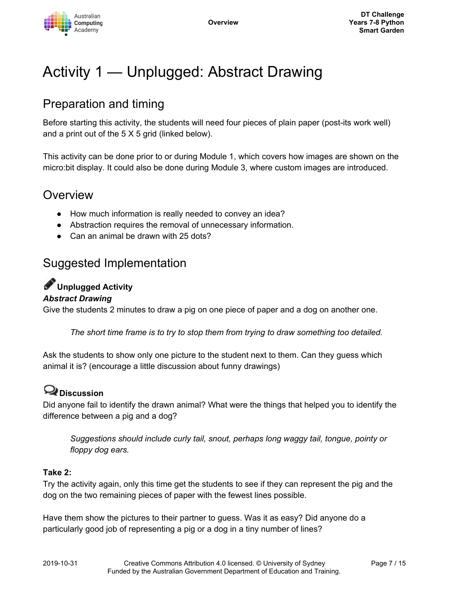

# Activity 1 — Unplugged: Abstract Drawing

# Preparation and timing

Before starting this activity, the students will need four pieces of plain paper (post-its work well) and a print out of the 5 X 5 grid (linked below).

This activity can be done prior to or during Module 1, which covers how images are shown on the micro:bit display. It could also be done during Module 3, where custom images are introduced.

### Overview

- How much information is really needed to convey an idea?
- Abstraction requires the removal of unnecessary information.
- Can an animal be drawn with 25 dots?

## Suggested Implementation

### **Unplugged Activity**

#### *Abstract Drawing*

Give the students 2 minutes to draw a pig on one piece of paper and a dog on another one.

*The short time frame is to try to stop them from trying to draw something too detailed.*

Ask the students to show only one picture to the student next to them. Can they guess which animal it is? (encourage a little discussion about funny drawings)

### **Discussion**

Did anyone fail to identify the drawn animal? What were the things that helped you to identify the difference between a pig and a dog?

*Suggestions should include curly tail, snout, perhaps long waggy tail, tongue, pointy or floppy dog ears.*

#### **Take 2:**

Try the activity again, only this time get the students to see if they can represent the pig and the dog on the two remaining pieces of paper with the fewest lines possible.

Have them show the pictures to their partner to guess. Was it as easy? Did anyone do a particularly good job of representing a pig or a dog in a tiny number of lines?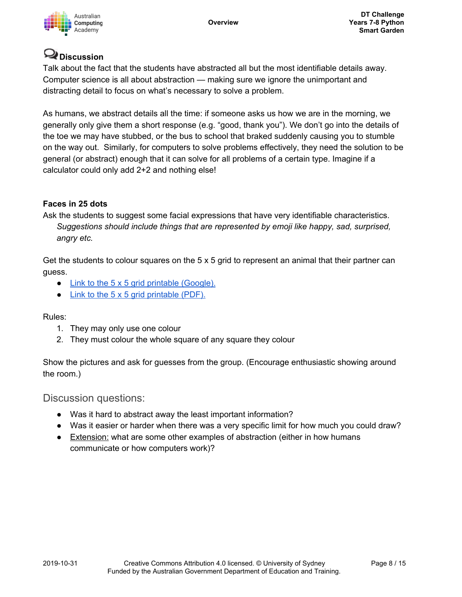

### **Discussion**

Talk about the fact that the students have abstracted all but the most identifiable details away. Computer science is all about abstraction — making sure we ignore the unimportant and distracting detail to focus on what's necessary to solve a problem.

As humans, we abstract details all the time: if someone asks us how we are in the morning, we generally only give them a short response (e.g. "good, thank you"). We don't go into the details of the toe we may have stubbed, or the bus to school that braked suddenly causing you to stumble on the way out. Similarly, for computers to solve problems effectively, they need the solution to be general (or abstract) enough that it can solve for all problems of a certain type. Imagine if a calculator could only add 2+2 and nothing else!

#### **Faces in 25 dots**

Ask the students to suggest some facial expressions that have very identifiable characteristics. *Suggestions should include things that are represented by emoji like happy, sad, surprised, angry etc.*

Get the students to colour squares on the  $5 \times 5$  grid to represent an animal that their partner can guess.

- Link to the 5 x 5 grid printable [\(Google\).](https://docs.google.com/presentation/d/1zg1-sTDiBLGeb8EUXyBWwYGFfdfTy-gNDCeZh0WJevs/copy)
- $\bullet$  Link to the 5 x 5 grid [printable](https://groklearning-cdn.com/modules/jSG8socbQ2FwPra38m5WA7/AbstractDrawingunplugged.pdf) (PDF).

Rules:

- 1. They may only use one colour
- 2. They must colour the whole square of any square they colour

Show the pictures and ask for guesses from the group. (Encourage enthusiastic showing around the room.)

#### Discussion questions:

- Was it hard to abstract away the least important information?
- Was it easier or harder when there was a very specific limit for how much you could draw?
- Extension: what are some other examples of abstraction (either in how humans communicate or how computers work)?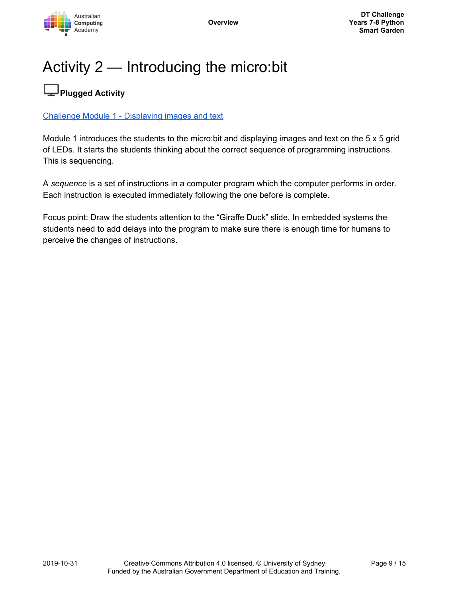

# Activity 2 — Introducing the micro:bit

## **Plugged Activity**

#### Challenge Module 1 - [Displaying](https://groklearning.com/learn/aca-dt-78-py-microbit-garden/1/0/) images and text

Module 1 introduces the students to the micro:bit and displaying images and text on the 5 x 5 grid of LEDs. It starts the students thinking about the correct sequence of programming instructions. This is sequencing.

A *sequence* is a set of instructions in a computer program which the computer performs in order. Each instruction is executed immediately following the one before is complete.

Focus point: Draw the students attention to the "Giraffe Duck" slide. In embedded systems the students need to add delays into the program to make sure there is enough time for humans to perceive the changes of instructions.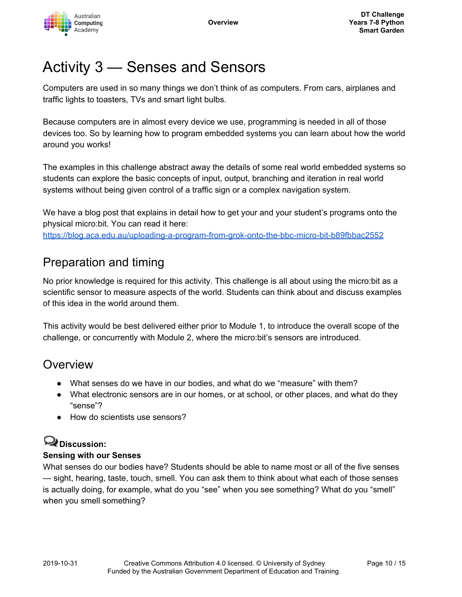

# Activity 3 — Senses and Sensors

Computers are used in so many things we don't think of as computers. From cars, airplanes and traffic lights to toasters, TVs and smart light bulbs.

Because computers are in almost every device we use, programming is needed in all of those devices too. So by learning how to program embedded systems you can learn about how the world around you works!

The examples in this challenge abstract away the details of some real world embedded systems so students can explore the basic concepts of input, output, branching and iteration in real world systems without being given control of a traffic sign or a complex navigation system.

We have a blog post that explains in detail how to get your and your student's programs onto the physical micro:bit. You can read it here: <https://blog.aca.edu.au/uploading-a-program-from-grok-onto-the-bbc-micro-bit-b89fbbac2552>

# Preparation and timing

No prior knowledge is required for this activity. This challenge is all about using the micro:bit as a scientific sensor to measure aspects of the world. Students can think about and discuss examples of this idea in the world around them.

This activity would be best delivered either prior to Module 1, to introduce the overall scope of the challenge, or concurrently with Module 2, where the micro:bit's sensors are introduced.

## **Overview**

- What senses do we have in our bodies, and what do we "measure" with them?
- What electronic sensors are in our homes, or at school, or other places, and what do they "sense"?
- How do scientists use sensors?

## **Discussion:**

#### **Sensing with our Senses**

What senses do our bodies have? Students should be able to name most or all of the five senses — sight, hearing, taste, touch, smell. You can ask them to think about what each of those senses is actually doing, for example, what do you "see" when you see something? What do you "smell" when you smell something?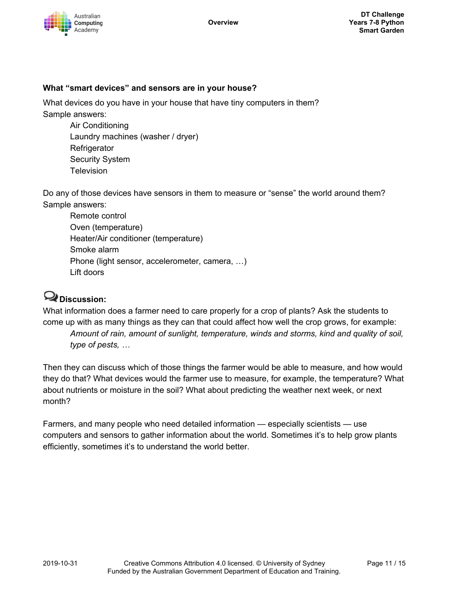

#### **What "smart devices" and sensors are in your house?**

What devices do you have in your house that have tiny computers in them? Sample answers:

Air Conditioning Laundry machines (washer / dryer) **Refrigerator** Security System **Television** 

Do any of those devices have sensors in them to measure or "sense" the world around them? Sample answers:

Remote control Oven (temperature) Heater/Air conditioner (temperature) Smoke alarm Phone (light sensor, accelerometer, camera, …) Lift doors

### **Discussion:**

What information does a farmer need to care properly for a crop of plants? Ask the students to come up with as many things as they can that could affect how well the crop grows, for example: *Amount of rain, amount of sunlight, temperature, winds and storms, kind and quality of soil, type of pests, …*

Then they can discuss which of those things the farmer would be able to measure, and how would they do that? What devices would the farmer use to measure, for example, the temperature? What about nutrients or moisture in the soil? What about predicting the weather next week, or next month?

Farmers, and many people who need detailed information — especially scientists — use computers and sensors to gather information about the world. Sometimes it's to help grow plants efficiently, sometimes it's to understand the world better.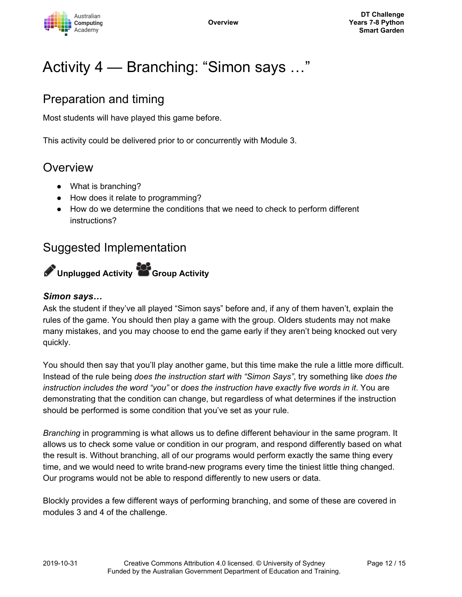

# Activity 4 — Branching: "Simon says …"

## Preparation and timing

Most students will have played this game before.

This activity could be delivered prior to or concurrently with Module 3.

### **Overview**

- What is branching?
- How does it relate to programming?
- How do we determine the conditions that we need to check to perform different instructions?

### Suggested Implementation



#### *Simon says…*

Ask the student if they've all played "Simon says" before and, if any of them haven't, explain the rules of the game. You should then play a game with the group. Olders students may not make many mistakes, and you may choose to end the game early if they aren't being knocked out very quickly.

You should then say that you'll play another game, but this time make the rule a little more difficult. Instead of the rule being *does the instruction start with "Simon Says"*, try something like *does the instruction includes the word "you"* or *does the instruction have exactly five words in it*. You are demonstrating that the condition can change, but regardless of what determines if the instruction should be performed is some condition that you've set as your rule.

*Branching* in programming is what allows us to define different behaviour in the same program. It allows us to check some value or condition in our program, and respond differently based on what the result is. Without branching, all of our programs would perform exactly the same thing every time, and we would need to write brand-new programs every time the tiniest little thing changed. Our programs would not be able to respond differently to new users or data.

Blockly provides a few different ways of performing branching, and some of these are covered in modules 3 and 4 of the challenge.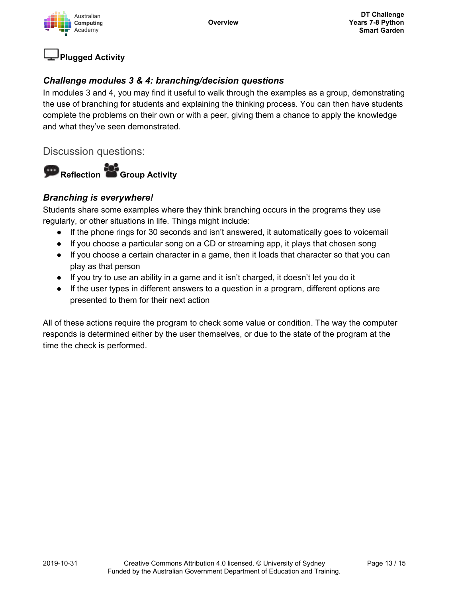



#### *Challenge modules 3 & 4: branching/decision questions*

In modules 3 and 4, you may find it useful to walk through the examples as a group, demonstrating the use of branching for students and explaining the thinking process. You can then have students complete the problems on their own or with a peer, giving them a chance to apply the knowledge and what they've seen demonstrated.

Discussion questions:



#### *Branching is everywhere!*

Students share some examples where they think branching occurs in the programs they use regularly, or other situations in life. Things might include:

- If the phone rings for 30 seconds and isn't answered, it automatically goes to voicemail
- If you choose a particular song on a CD or streaming app, it plays that chosen song
- If you choose a certain character in a game, then it loads that character so that you can play as that person
- If you try to use an ability in a game and it isn't charged, it doesn't let you do it
- If the user types in different answers to a question in a program, different options are presented to them for their next action

All of these actions require the program to check some value or condition. The way the computer responds is determined either by the user themselves, or due to the state of the program at the time the check is performed.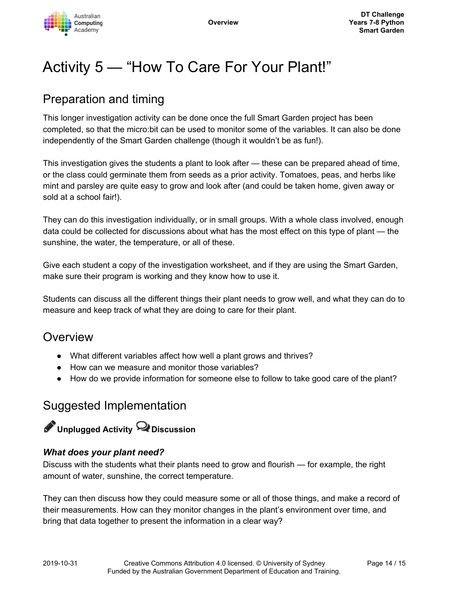

# Activity 5 — "How To Care For Your Plant!"

## Preparation and timing

This longer investigation activity can be done once the full Smart Garden project has been completed, so that the micro:bit can be used to monitor some of the variables. It can also be done independently of the Smart Garden challenge (though it wouldn't be as fun!).

This investigation gives the students a plant to look after — these can be prepared ahead of time, or the class could germinate them from seeds as a prior activity. Tomatoes, peas, and herbs like mint and parsley are quite easy to grow and look after (and could be taken home, given away or sold at a school fair!).

They can do this investigation individually, or in small groups. With a whole class involved, enough data could be collected for discussions about what has the most effect on this type of plant — the sunshine, the water, the temperature, or all of these.

Give each student a copy of the investigation worksheet, and if they are using the Smart Garden, make sure their program is working and they know how to use it.

Students can discuss all the different things their plant needs to grow well, and what they can do to measure and keep track of what they are doing to care for their plant.

### **Overview**

- What different variables affect how well a plant grows and thrives?
- How can we measure and monitor those variables?
- How do we provide information for someone else to follow to take good care of the plant?

### Suggested Implementation

# **Unplugged Activity Discussion**

#### *What does your plant need?*

Discuss with the students what their plants need to grow and flourish — for example, the right amount of water, sunshine, the correct temperature.

They can then discuss how they could measure some or all of those things, and make a record of their measurements. How can they monitor changes in the plant's environment over time, and bring that data together to present the information in a clear way?